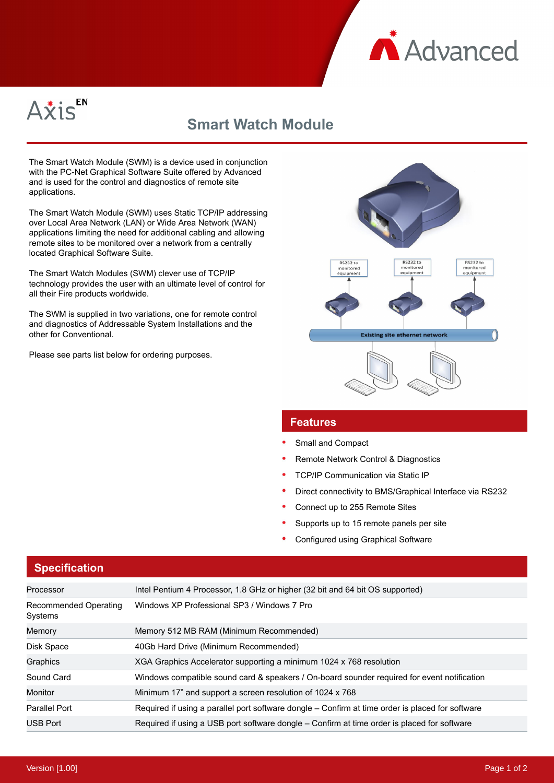



## **Smart Watch Module**

The Smart Watch Module (SWM) is a device used in conjunction with the PC-Net Graphical Software Suite offered by Advanced and is used for the control and diagnostics of remote site applications.

The Smart Watch Module (SWM) uses Static TCP/IP addressing over Local Area Network (LAN) or Wide Area Network (WAN) applications limiting the need for additional cabling and allowing remote sites to be monitored over a network from a centrally located Graphical Software Suite.

The Smart Watch Modules (SWM) clever use of TCP/IP technology provides the user with an ultimate level of control for all their Fire products worldwide.

The SWM is supplied in two variations, one for remote control and diagnostics of Addressable System Installations and the other for Conventional.

Please see parts list below for ordering purposes.



## **Features**

- Small and Compact
- Remote Network Control & Diagnostics
- TCP/IP Communication via Static IP
- Direct connectivity to BMS/Graphical Interface via RS232
- Connect up to 255 Remote Sites
- Supports up to 15 remote panels per site
- Configured using Graphical Software

## **Specification**

| Processor                        | Intel Pentium 4 Processor, 1.8 GHz or higher (32 bit and 64 bit OS supported)                    |
|----------------------------------|--------------------------------------------------------------------------------------------------|
|                                  |                                                                                                  |
| Recommended Operating<br>Systems | Windows XP Professional SP3 / Windows 7 Pro                                                      |
| Memory                           | Memory 512 MB RAM (Minimum Recommended)                                                          |
| Disk Space                       | 40Gb Hard Drive (Minimum Recommended)                                                            |
| Graphics                         | XGA Graphics Accelerator supporting a minimum 1024 x 768 resolution                              |
| Sound Card                       | Windows compatible sound card & speakers / On-board sounder required for event notification      |
| Monitor                          | Minimum 17" and support a screen resolution of 1024 x 768                                        |
| <b>Parallel Port</b>             | Required if using a parallel port software dongle – Confirm at time order is placed for software |
| <b>USB Port</b>                  | Required if using a USB port software dongle – Confirm at time order is placed for software      |